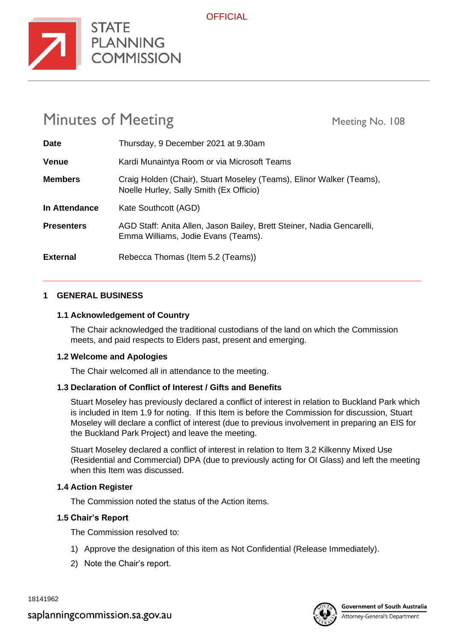

# Minutes of Meeting Meeting Meeting No. 108

**STATE** 

**COMMISSION** 

| <b>Date</b>       | Thursday, 9 December 2021 at 9.30am                                                                             |
|-------------------|-----------------------------------------------------------------------------------------------------------------|
| <b>Venue</b>      | Kardi Munaintya Room or via Microsoft Teams                                                                     |
| <b>Members</b>    | Craig Holden (Chair), Stuart Moseley (Teams), Elinor Walker (Teams),<br>Noelle Hurley, Sally Smith (Ex Officio) |
| In Attendance     | Kate Southcott (AGD)                                                                                            |
| <b>Presenters</b> | AGD Staff: Anita Allen, Jason Bailey, Brett Steiner, Nadia Gencarelli,<br>Emma Williams, Jodie Evans (Teams).   |
| <b>External</b>   | Rebecca Thomas (Item 5.2 (Teams))                                                                               |

#### **1 GENERAL BUSINESS**

#### **1.1 Acknowledgement of Country**

The Chair acknowledged the traditional custodians of the land on which the Commission meets, and paid respects to Elders past, present and emerging.

#### **1.2 Welcome and Apologies**

The Chair welcomed all in attendance to the meeting.

#### **1.3 Declaration of Conflict of Interest / Gifts and Benefits**

Stuart Moseley has previously declared a conflict of interest in relation to Buckland Park which is included in Item 1.9 for noting. If this Item is before the Commission for discussion, Stuart Moseley will declare a conflict of interest (due to previous involvement in preparing an EIS for the Buckland Park Project) and leave the meeting.

Stuart Moseley declared a conflict of interest in relation to Item 3.2 Kilkenny Mixed Use (Residential and Commercial) DPA (due to previously acting for OI Glass) and left the meeting when this Item was discussed.

#### **1.4 Action Register**

The Commission noted the status of the Action items.

#### **1.5 Chair's Report**

The Commission resolved to:

- 1) Approve the designation of this item as Not Confidential (Release Immediately).
- 2) Note the Chair's report.

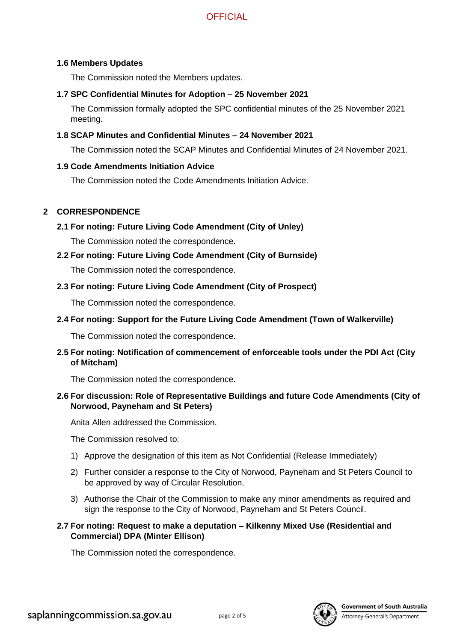#### **1.6 Members Updates**

The Commission noted the Members updates.

#### **1.7 SPC Confidential Minutes for Adoption – 25 November 2021**

The Commission formally adopted the SPC confidential minutes of the 25 November 2021 meeting.

#### **1.8 SCAP Minutes and Confidential Minutes – 24 November 2021**

The Commission noted the SCAP Minutes and Confidential Minutes of 24 November 2021.

#### **1.9 Code Amendments Initiation Advice**

The Commission noted the Code Amendments Initiation Advice.

#### **2 CORRESPONDENCE**

**2.1 For noting: Future Living Code Amendment (City of Unley)**

The Commission noted the correspondence.

**2.2 For noting: Future Living Code Amendment (City of Burnside)**

The Commission noted the correspondence.

**2.3 For noting: Future Living Code Amendment (City of Prospect)**

The Commission noted the correspondence.

**2.4 For noting: Support for the Future Living Code Amendment (Town of Walkerville)**

The Commission noted the correspondence.

**2.5 For noting: Notification of commencement of enforceable tools under the PDI Act (City of Mitcham)**

The Commission noted the correspondence.

**2.6 For discussion: Role of Representative Buildings and future Code Amendments (City of Norwood, Payneham and St Peters)**

Anita Allen addressed the Commission.

The Commission resolved to:

- 1) Approve the designation of this item as Not Confidential (Release Immediately)
- 2) Further consider a response to the City of Norwood, Payneham and St Peters Council to be approved by way of Circular Resolution.
- 3) Authorise the Chair of the Commission to make any minor amendments as required and sign the response to the City of Norwood, Payneham and St Peters Council.

#### **2.7 For noting: Request to make a deputation – Kilkenny Mixed Use (Residential and Commercial) DPA (Minter Ellison)**

The Commission noted the correspondence.



**Government of South Australia**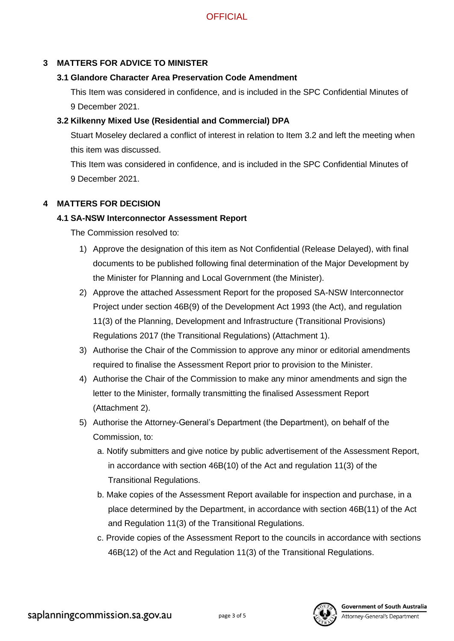## **3 MATTERS FOR ADVICE TO MINISTER**

#### **3.1 Glandore Character Area Preservation Code Amendment**

This Item was considered in confidence, and is included in the SPC Confidential Minutes of 9 December 2021.

## **3.2 Kilkenny Mixed Use (Residential and Commercial) DPA**

Stuart Moseley declared a conflict of interest in relation to Item 3.2 and left the meeting when this item was discussed.

This Item was considered in confidence, and is included in the SPC Confidential Minutes of 9 December 2021.

#### **4 MATTERS FOR DECISION**

#### **4.1 SA-NSW Interconnector Assessment Report**

The Commission resolved to:

- 1) Approve the designation of this item as Not Confidential (Release Delayed), with final documents to be published following final determination of the Major Development by the Minister for Planning and Local Government (the Minister).
- 2) Approve the attached Assessment Report for the proposed SA-NSW Interconnector Project under section 46B(9) of the Development Act 1993 (the Act), and regulation 11(3) of the Planning, Development and Infrastructure (Transitional Provisions) Regulations 2017 (the Transitional Regulations) (Attachment 1).
- 3) Authorise the Chair of the Commission to approve any minor or editorial amendments required to finalise the Assessment Report prior to provision to the Minister.
- 4) Authorise the Chair of the Commission to make any minor amendments and sign the letter to the Minister, formally transmitting the finalised Assessment Report (Attachment 2).
- 5) Authorise the Attorney-General's Department (the Department), on behalf of the Commission, to:
	- a. Notify submitters and give notice by public advertisement of the Assessment Report, in accordance with section 46B(10) of the Act and regulation 11(3) of the Transitional Regulations.
	- b. Make copies of the Assessment Report available for inspection and purchase, in a place determined by the Department, in accordance with section 46B(11) of the Act and Regulation 11(3) of the Transitional Regulations.
	- c. Provide copies of the Assessment Report to the councils in accordance with sections 46B(12) of the Act and Regulation 11(3) of the Transitional Regulations.

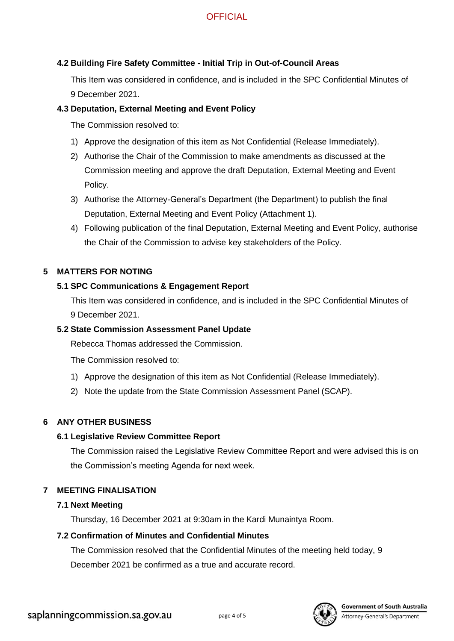#### **4.2 Building Fire Safety Committee - Initial Trip in Out-of-Council Areas**

This Item was considered in confidence, and is included in the SPC Confidential Minutes of 9 December 2021.

#### **4.3 Deputation, External Meeting and Event Policy**

The Commission resolved to:

- 1) Approve the designation of this item as Not Confidential (Release Immediately).
- 2) Authorise the Chair of the Commission to make amendments as discussed at the Commission meeting and approve the draft Deputation, External Meeting and Event Policy.
- 3) Authorise the Attorney-General's Department (the Department) to publish the final Deputation, External Meeting and Event Policy (Attachment 1).
- 4) Following publication of the final Deputation, External Meeting and Event Policy, authorise the Chair of the Commission to advise key stakeholders of the Policy.

#### **5 MATTERS FOR NOTING**

#### **5.1 SPC Communications & Engagement Report**

This Item was considered in confidence, and is included in the SPC Confidential Minutes of 9 December 2021.

## **5.2 State Commission Assessment Panel Update**

Rebecca Thomas addressed the Commission.

The Commission resolved to:

- 1) Approve the designation of this item as Not Confidential (Release Immediately).
- 2) Note the update from the State Commission Assessment Panel (SCAP).

## **6 ANY OTHER BUSINESS**

## **6.1 Legislative Review Committee Report**

The Commission raised the Legislative Review Committee Report and were advised this is on the Commission's meeting Agenda for next week.

## **7 MEETING FINALISATION**

## **7.1 Next Meeting**

Thursday, 16 December 2021 at 9:30am in the Kardi Munaintya Room.

## **7.2 Confirmation of Minutes and Confidential Minutes**

The Commission resolved that the Confidential Minutes of the meeting held today, 9 December 2021 be confirmed as a true and accurate record.



**Government of South Australia**